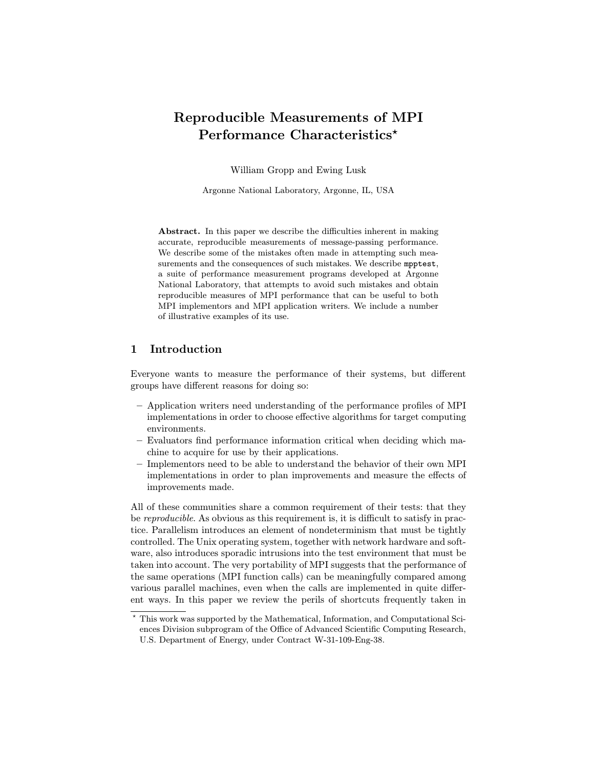# Reproducible Measurements of MPI Performance Characteristics<sup>\*</sup>

William Gropp and Ewing Lusk

Argonne National Laboratory, Argonne, IL, USA

Abstract. In this paper we describe the difficulties inherent in making accurate, reproducible measurements of message-passing performance. We describe some of the mistakes often made in attempting such measurements and the consequences of such mistakes. We describe mpptest, a suite of performance measurement programs developed at Argonne National Laboratory, that attempts to avoid such mistakes and obtain reproducible measures of MPI performance that can be useful to both MPI implementors and MPI application writers. We include a number of illustrative examples of its use.

## 1 Introduction

Everyone wants to measure the performance of their systems, but different groups have different reasons for doing so:

- Application writers need understanding of the performance profiles of MPI implementations in order to choose effective algorithms for target computing environments.
- Evaluators find performance information critical when deciding which machine to acquire for use by their applications.
- Implementors need to be able to understand the behavior of their own MPI implementations in order to plan improvements and measure the effects of improvements made.

All of these communities share a common requirement of their tests: that they be *reproducible*. As obvious as this requirement is, it is difficult to satisfy in practice. Parallelism introduces an element of nondeterminism that must be tightly controlled. The Unix operating system, together with network hardware and software, also introduces sporadic intrusions into the test environment that must be taken into account. The very portability of MPI suggests that the performance of the same operations (MPI function calls) can be meaningfully compared among various parallel machines, even when the calls are implemented in quite different ways. In this paper we review the perils of shortcuts frequently taken in

<sup>?</sup> This work was supported by the Mathematical, Information, and Computational Sciences Division subprogram of the Office of Advanced Scientific Computing Research, U.S. Department of Energy, under Contract W-31-109-Eng-38.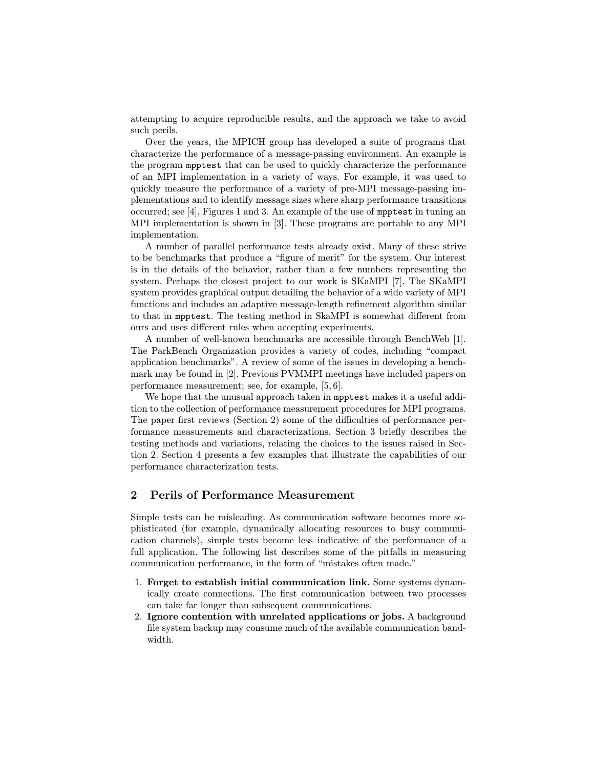attempting to acquire reproducible results, and the approach we take to avoid such perils.

Over the years, the MPICH group has developed a suite of programs that characterize the performance of a message-passing environment. An example is the program mpptest that can be used to quickly characterize the performance of an MPI implementation in a variety of ways. For example, it was used to quickly measure the performance of a variety of pre-MPI message-passing implementations and to identify message sizes where sharp performance transitions occurred; see [4], Figures 1 and 3. An example of the use of mpptest in tuning an MPI implementation is shown in [3]. These programs are portable to any MPI implementation.

A number of parallel performance tests already exist. Many of these strive to be benchmarks that produce a "figure of merit" for the system. Our interest is in the details of the behavior, rather than a few numbers representing the system. Perhaps the closest project to our work is SKaMPI [7]. The SKaMPI system provides graphical output detailing the behavior of a wide variety of MPI functions and includes an adaptive message-length refinement algorithm similar to that in mpptest. The testing method in SkaMPI is somewhat different from ours and uses different rules when accepting experiments.

A number of well-known benchmarks are accessible through BenchWeb [1]. The ParkBench Organization provides a variety of codes, including "compact application benchmarks". A review of some of the issues in developing a benchmark may be found in [2]. Previous PVMMPI meetings have included papers on performance measurement; see, for example, [5, 6].

We hope that the unusual approach taken in **mpptest** makes it a useful addition to the collection of performance measurement procedures for MPI programs. The paper first reviews (Section 2) some of the difficulties of performance performance measurements and characterizations. Section 3 briefly describes the testing methods and variations, relating the choices to the issues raised in Section 2. Section 4 presents a few examples that illustrate the capabilities of our performance characterization tests.

# 2 Perils of Performance Measurement

Simple tests can be misleading. As communication software becomes more sophisticated (for example, dynamically allocating resources to busy communication channels), simple tests become less indicative of the performance of a full application. The following list describes some of the pitfalls in measuring communication performance, in the form of "mistakes often made."

- 1. Forget to establish initial communication link. Some systems dynamically create connections. The first communication between two processes can take far longer than subsequent communications.
- 2. Ignore contention with unrelated applications or jobs. A background file system backup may consume much of the available communication bandwidth.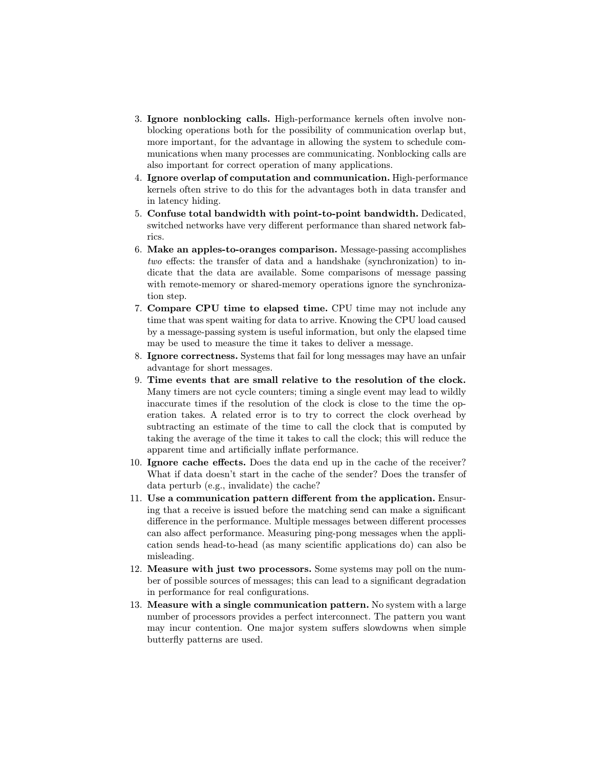- 3. Ignore nonblocking calls. High-performance kernels often involve nonblocking operations both for the possibility of communication overlap but, more important, for the advantage in allowing the system to schedule communications when many processes are communicating. Nonblocking calls are also important for correct operation of many applications.
- 4. Ignore overlap of computation and communication. High-performance kernels often strive to do this for the advantages both in data transfer and in latency hiding.
- 5. Confuse total bandwidth with point-to-point bandwidth. Dedicated, switched networks have very different performance than shared network fabrics.
- 6. Make an apples-to-oranges comparison. Message-passing accomplishes two effects: the transfer of data and a handshake (synchronization) to indicate that the data are available. Some comparisons of message passing with remote-memory or shared-memory operations ignore the synchronization step.
- 7. Compare CPU time to elapsed time. CPU time may not include any time that was spent waiting for data to arrive. Knowing the CPU load caused by a message-passing system is useful information, but only the elapsed time may be used to measure the time it takes to deliver a message.
- 8. Ignore correctness. Systems that fail for long messages may have an unfair advantage for short messages.
- 9. Time events that are small relative to the resolution of the clock. Many timers are not cycle counters; timing a single event may lead to wildly inaccurate times if the resolution of the clock is close to the time the operation takes. A related error is to try to correct the clock overhead by subtracting an estimate of the time to call the clock that is computed by taking the average of the time it takes to call the clock; this will reduce the apparent time and artificially inflate performance.
- 10. Ignore cache effects. Does the data end up in the cache of the receiver? What if data doesn't start in the cache of the sender? Does the transfer of data perturb (e.g., invalidate) the cache?
- 11. Use a communication pattern different from the application. Ensuring that a receive is issued before the matching send can make a significant difference in the performance. Multiple messages between different processes can also affect performance. Measuring ping-pong messages when the application sends head-to-head (as many scientific applications do) can also be misleading.
- 12. Measure with just two processors. Some systems may poll on the number of possible sources of messages; this can lead to a significant degradation in performance for real configurations.
- 13. Measure with a single communication pattern. No system with a large number of processors provides a perfect interconnect. The pattern you want may incur contention. One major system suffers slowdowns when simple butterfly patterns are used.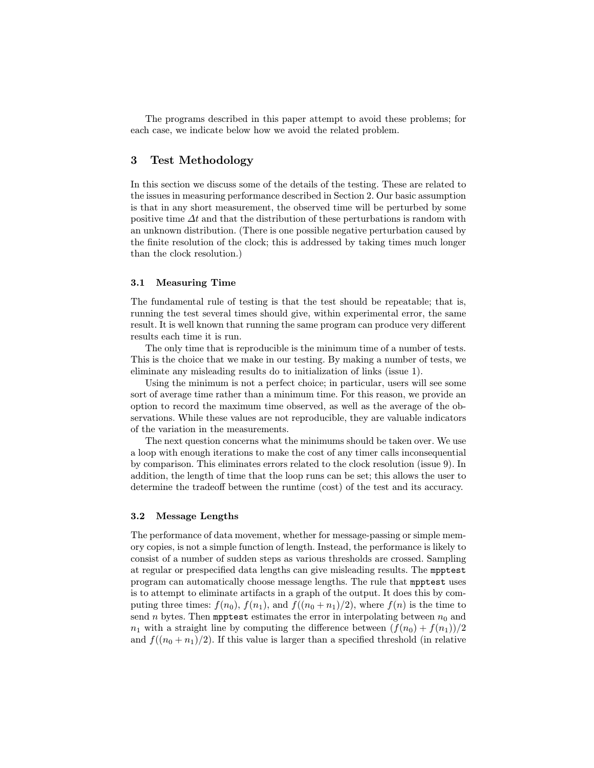The programs described in this paper attempt to avoid these problems; for each case, we indicate below how we avoid the related problem.

### 3 Test Methodology

In this section we discuss some of the details of the testing. These are related to the issues in measuring performance described in Section 2. Our basic assumption is that in any short measurement, the observed time will be perturbed by some positive time  $\Delta t$  and that the distribution of these perturbations is random with an unknown distribution. (There is one possible negative perturbation caused by the finite resolution of the clock; this is addressed by taking times much longer than the clock resolution.)

### 3.1 Measuring Time

The fundamental rule of testing is that the test should be repeatable; that is, running the test several times should give, within experimental error, the same result. It is well known that running the same program can produce very different results each time it is run.

The only time that is reproducible is the minimum time of a number of tests. This is the choice that we make in our testing. By making a number of tests, we eliminate any misleading results do to initialization of links (issue 1).

Using the minimum is not a perfect choice; in particular, users will see some sort of average time rather than a minimum time. For this reason, we provide an option to record the maximum time observed, as well as the average of the observations. While these values are not reproducible, they are valuable indicators of the variation in the measurements.

The next question concerns what the minimums should be taken over. We use a loop with enough iterations to make the cost of any timer calls inconsequential by comparison. This eliminates errors related to the clock resolution (issue 9). In addition, the length of time that the loop runs can be set; this allows the user to determine the tradeoff between the runtime (cost) of the test and its accuracy.

### 3.2 Message Lengths

The performance of data movement, whether for message-passing or simple memory copies, is not a simple function of length. Instead, the performance is likely to consist of a number of sudden steps as various thresholds are crossed. Sampling at regular or prespecified data lengths can give misleading results. The mpptest program can automatically choose message lengths. The rule that mpptest uses is to attempt to eliminate artifacts in a graph of the output. It does this by computing three times:  $f(n_0)$ ,  $f(n_1)$ , and  $f((n_0 + n_1)/2)$ , where  $f(n)$  is the time to send n bytes. Then mpptest estimates the error in interpolating between  $n_0$  and  $n_1$  with a straight line by computing the difference between  $(f(n_0) + f(n_1))/2$ and  $f((n_0 + n_1)/2)$ . If this value is larger than a specified threshold (in relative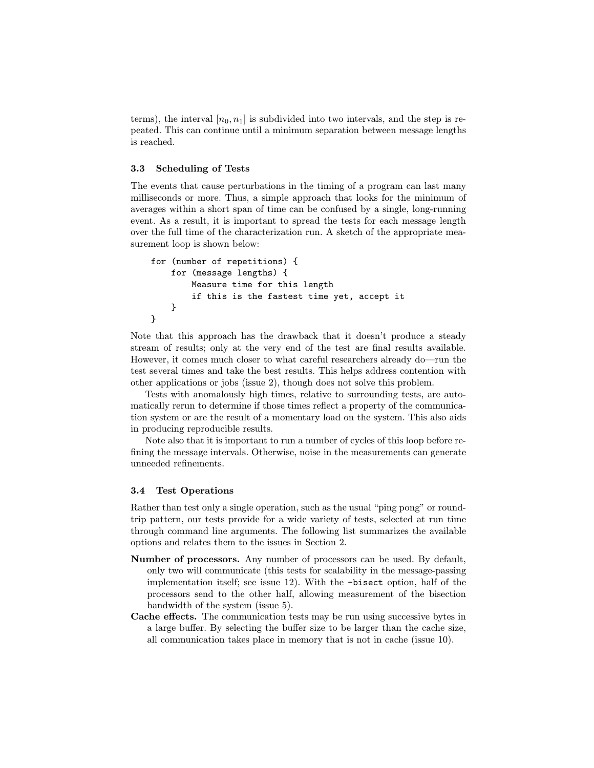terms), the interval  $[n_0, n_1]$  is subdivided into two intervals, and the step is repeated. This can continue until a minimum separation between message lengths is reached.

#### 3.3 Scheduling of Tests

The events that cause perturbations in the timing of a program can last many milliseconds or more. Thus, a simple approach that looks for the minimum of averages within a short span of time can be confused by a single, long-running event. As a result, it is important to spread the tests for each message length over the full time of the characterization run. A sketch of the appropriate measurement loop is shown below:

```
for (number of repetitions) {
   for (message lengths) {
        Measure time for this length
        if this is the fastest time yet, accept it
   }
}
```
Note that this approach has the drawback that it doesn't produce a steady stream of results; only at the very end of the test are final results available. However, it comes much closer to what careful researchers already do—run the test several times and take the best results. This helps address contention with other applications or jobs (issue 2), though does not solve this problem.

Tests with anomalously high times, relative to surrounding tests, are automatically rerun to determine if those times reflect a property of the communication system or are the result of a momentary load on the system. This also aids in producing reproducible results.

Note also that it is important to run a number of cycles of this loop before refining the message intervals. Otherwise, noise in the measurements can generate unneeded refinements.

### 3.4 Test Operations

Rather than test only a single operation, such as the usual "ping pong" or roundtrip pattern, our tests provide for a wide variety of tests, selected at run time through command line arguments. The following list summarizes the available options and relates them to the issues in Section 2.

- Number of processors. Any number of processors can be used. By default, only two will communicate (this tests for scalability in the message-passing implementation itself; see issue 12). With the -bisect option, half of the processors send to the other half, allowing measurement of the bisection bandwidth of the system (issue 5).
- Cache effects. The communication tests may be run using successive bytes in a large buffer. By selecting the buffer size to be larger than the cache size, all communication takes place in memory that is not in cache (issue 10).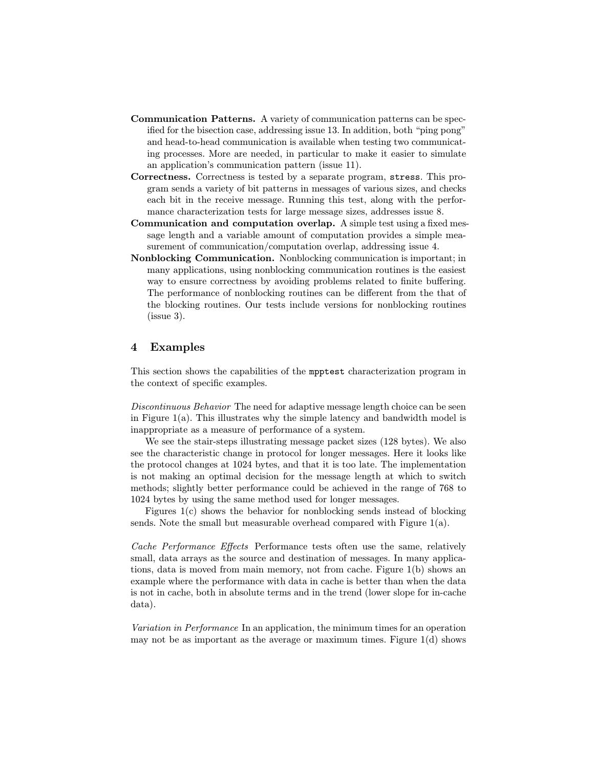- Communication Patterns. A variety of communication patterns can be specified for the bisection case, addressing issue 13. In addition, both "ping pong" and head-to-head communication is available when testing two communicating processes. More are needed, in particular to make it easier to simulate an application's communication pattern (issue 11).
- Correctness. Correctness is tested by a separate program, stress. This program sends a variety of bit patterns in messages of various sizes, and checks each bit in the receive message. Running this test, along with the performance characterization tests for large message sizes, addresses issue 8.
- Communication and computation overlap. A simple test using a fixed message length and a variable amount of computation provides a simple measurement of communication/computation overlap, addressing issue 4.
- Nonblocking Communication. Nonblocking communication is important; in many applications, using nonblocking communication routines is the easiest way to ensure correctness by avoiding problems related to finite buffering. The performance of nonblocking routines can be different from the that of the blocking routines. Our tests include versions for nonblocking routines (issue 3).

# 4 Examples

This section shows the capabilities of the mpptest characterization program in the context of specific examples.

Discontinuous Behavior The need for adaptive message length choice can be seen in Figure 1(a). This illustrates why the simple latency and bandwidth model is inappropriate as a measure of performance of a system.

We see the stair-steps illustrating message packet sizes (128 bytes). We also see the characteristic change in protocol for longer messages. Here it looks like the protocol changes at 1024 bytes, and that it is too late. The implementation is not making an optimal decision for the message length at which to switch methods; slightly better performance could be achieved in the range of 768 to 1024 bytes by using the same method used for longer messages.

Figures 1(c) shows the behavior for nonblocking sends instead of blocking sends. Note the small but measurable overhead compared with Figure  $1(a)$ .

Cache Performance Effects Performance tests often use the same, relatively small, data arrays as the source and destination of messages. In many applications, data is moved from main memory, not from cache. Figure 1(b) shows an example where the performance with data in cache is better than when the data is not in cache, both in absolute terms and in the trend (lower slope for in-cache data).

Variation in Performance In an application, the minimum times for an operation may not be as important as the average or maximum times. Figure  $1(d)$  shows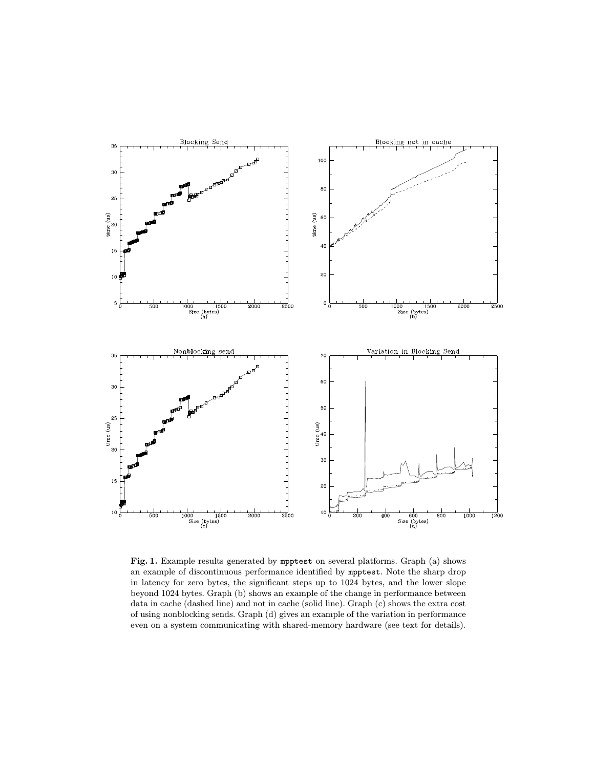

Fig. 1. Example results generated by mpptest on several platforms. Graph (a) shows an example of discontinuous performance identified by mpptest. Note the sharp drop in latency for zero bytes, the significant steps up to 1024 bytes, and the lower slope beyond 1024 bytes. Graph (b) shows an example of the change in performance between data in cache (dashed line) and not in cache (solid line). Graph (c) shows the extra cost of using nonblocking sends. Graph (d) gives an example of the variation in performance even on a system communicating with shared-memory hardware (see text for details).